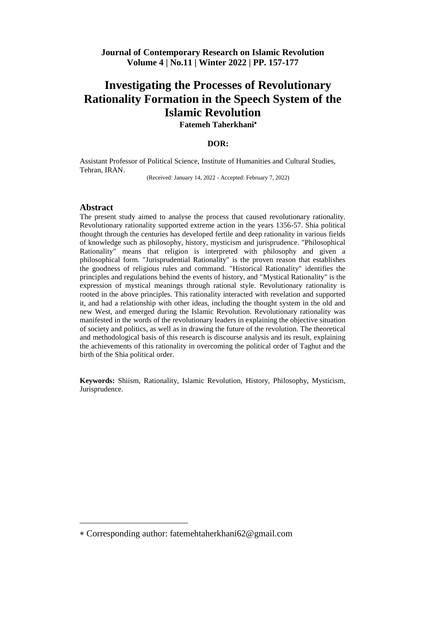**Fatemeh Taherkhani**

#### **DOR:**

Assistant Professor of Political Science, Institute of Humanities and Cultural Studies, Tehran, IRAN.

(Received: January 14, 2022 - Accepted: February 7, 2022)

#### **Abstract**

 $\overline{a}$ 

The present study aimed to analyse the process that caused revolutionary rationality. Revolutionary rationality supported extreme action in the years 1356-57. Shia political thought through the centuries has developed fertile and deep rationality in various fields of knowledge such as philosophy, history, mysticism and jurisprudence. "Philosophical Rationality" means that religion is interpreted with philosophy and given a philosophical form. "Jurisprudential Rationality" is the proven reason that establishes the goodness of religious rules and command. "Historical Rationality" identifies the principles and regulations behind the events of history, and "Mystical Rationality" is the expression of mystical meanings through rational style. Revolutionary rationality is rooted in the above principles. This rationality interacted with revelation and supported it, and had a relationship with other ideas, including the thought system in the old and new West, and emerged during the Islamic Revolution. Revolutionary rationality was manifested in the words of the revolutionary leaders in explaining the objective situation of society and politics, as well as in drawing the future of the revolution. The theoretical and methodological basis of this research is discourse analysis and its result, explaining the achievements of this rationality in overcoming the political order of Taghut and the birth of the Shia political order.

**Keywords:** Shiism, Rationality, Islamic Revolution, History, Philosophy, Mysticism, Jurisprudence.

Corresponding author: fatemehtaherkhani62@gmail.com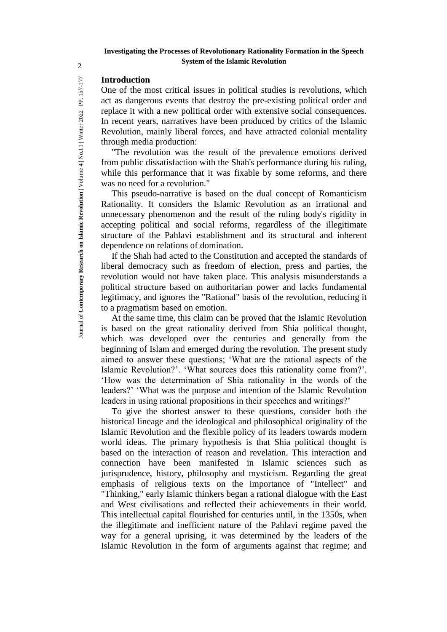### **Introduction**

One of the most critical issues in political studies is revolutions, which act as dangerous events that destroy the pre-existing political order and replace it with a new political order with extensive social consequences. In recent years, narratives have been produced by critics of the Islamic Revolution, mainly liberal forces, and have attracted colonial mentality through media production:

"The revolution was the result of the prevalence emotions derived from public dissatisfaction with the Shah's performance during his ruling, while this performance that it was fixable by some reforms, and there was no need for a revolution."

This pseudo-narrative is based on the dual concept of Romanticism Rationality. It considers the Islamic Revolution as an irrational and unnecessary phenomenon and the result of the ruling body's rigidity in accepting political and social reforms, regardless of the illegitimate structure of the Pahlavi establishment and its structural and inherent dependence on relations of domination.

If the Shah had acted to the Constitution and accepted the standards of liberal democracy such as freedom of election, press and parties, the revolution would not have taken place. This analysis misunderstands a political structure based on authoritarian power and lacks fundamental legitimacy, and ignores the "Rational" basis of the revolution, reducing it to a pragmatism based on emotion.

At the same time, this claim can be proved that the Islamic Revolution is based on the great rationality derived from Shia political thought, which was developed over the centuries and generally from the beginning of Islam and emerged during the revolution. The present study aimed to answer these questions; 'What are the rational aspects of the Islamic Revolution?'. 'What sources does this rationality come from?'. 'How was the determination of Shia rationality in the words of the leaders?' 'What was the purpose and intention of the Islamic Revolution leaders in using rational propositions in their speeches and writings?'

To give the shortest answer to these questions, consider both the historical lineage and the ideological and philosophical originality of the Islamic Revolution and the flexible policy of its leaders towards modern world ideas. The primary hypothesis is that Shia political thought is based on the interaction of reason and revelation. This interaction and connection have been manifested in Islamic sciences such as jurisprudence, history, philosophy and mysticism. Regarding the great emphasis of religious texts on the importance of "Intellect" and "Thinking," early Islamic thinkers began a rational dialogue with the East and West civilisations and reflected their achievements in their world. This intellectual capital flourished for centuries until, in the 1350s, when the illegitimate and inefficient nature of the Pahlavi regime paved the way for a general uprising, it was determined by the leaders of the Islamic Revolution in the form of arguments against that regime; and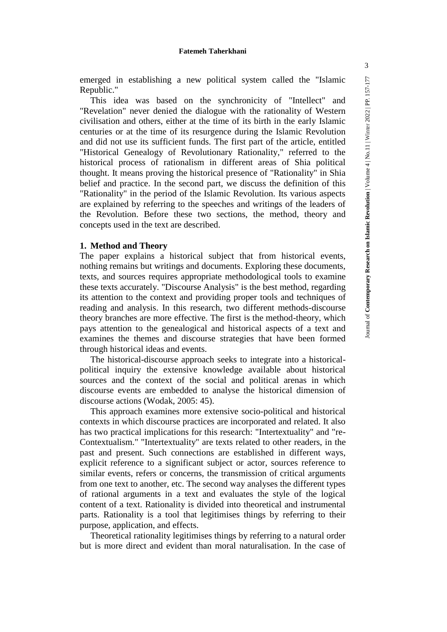emerged in establishing a new political system called the "Islamic Republic."

This idea was based on the synchronicity of "Intellect" and "Revelation" never denied the dialogue with the rationality of Western civilisation and others, either at the time of its birth in the early Islamic centuries or at the time of its resurgence during the Islamic Revolution and did not use its sufficient funds. The first part of the article, entitled "Historical Genealogy of Revolutionary Rationality," referred to the historical process of rationalism in different areas of Shia political thought. It means proving the historical presence of "Rationality" in Shia belief and practice. In the second part, we discuss the definition of this "Rationality" in the period of the Islamic Revolution. Its various aspects are explained by referring to the speeches and writings of the leaders of the Revolution. Before these two sections, the method, theory and concepts used in the text are described.

#### **1. Method and Theory**

The paper explains a historical subject that from historical events, nothing remains but writings and documents. Exploring these documents, texts, and sources requires appropriate methodological tools to examine these texts accurately. "Discourse Analysis" is the best method, regarding its attention to the context and providing proper tools and techniques of reading and analysis. In this research, two different methods-discourse theory branches are more effective. The first is the method-theory, which pays attention to the genealogical and historical aspects of a text and examines the themes and discourse strategies that have been formed through historical ideas and events.

The historical-discourse approach seeks to integrate into a historicalpolitical inquiry the extensive knowledge available about historical sources and the context of the social and political arenas in which discourse events are embedded to analyse the historical dimension of discourse actions (Wodak, 2005: 45).

This approach examines more extensive socio-political and historical contexts in which discourse practices are incorporated and related. It also has two practical implications for this research: "Intertextuality" and "re-Contextualism." "Intertextuality" are texts related to other readers, in the past and present. Such connections are established in different ways, explicit reference to a significant subject or actor, sources reference to similar events, refers or concerns, the transmission of critical arguments from one text to another, etc. The second way analyses the different types of rational arguments in a text and evaluates the style of the logical content of a text. Rationality is divided into theoretical and instrumental parts. Rationality is a tool that legitimises things by referring to their purpose, application, and effects.

Theoretical rationality legitimises things by referring to a natural order but is more direct and evident than moral naturalisation. In the case of 3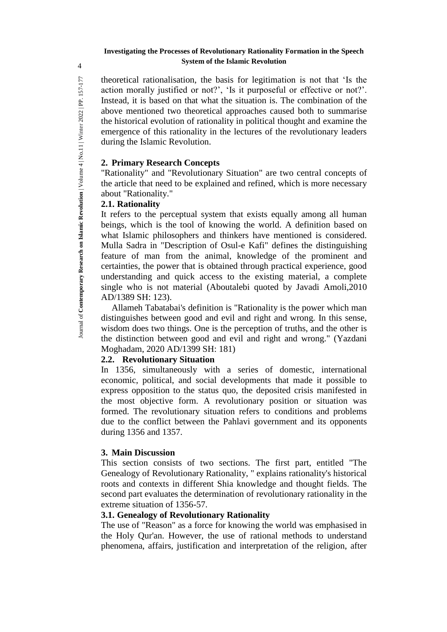theoretical rationalisation, the basis for legitimation is not that 'Is the action morally justified or not?', 'Is it purposeful or effective or not?'. Instead, it is based on that what the situation is. The combination of the above mentioned two theoretical approaches caused both to summarise the historical evolution of rationality in political thought and examine the emergence of this rationality in the lectures of the revolutionary leaders during the Islamic Revolution.

## **2. Primary Research Concepts**

"Rationality" and "Revolutionary Situation" are two central concepts of the article that need to be explained and refined, which is more necessary about "Rationality."

### **2.1. Rationality**

It refers to the perceptual system that exists equally among all human beings, which is the tool of knowing the world. A definition based on what Islamic philosophers and thinkers have mentioned is considered. Mulla Sadra in "Description of Osul-e Kafi" defines the distinguishing feature of man from the animal, knowledge of the prominent and certainties, the power that is obtained through practical experience, good understanding and quick access to the existing material, a complete single who is not material (Aboutalebi quoted by Javadi Amoli,2010 AD/1389 SH: 123).

Allameh Tabatabai's definition is "Rationality is the power which man distinguishes between good and evil and right and wrong. In this sense, wisdom does two things. One is the perception of truths, and the other is the distinction between good and evil and right and wrong." (Yazdani Moghadam, 2020 AD/1399 SH: 181)

## **2.2. Revolutionary Situation**

In 1356, simultaneously with a series of domestic, international economic, political, and social developments that made it possible to express opposition to the status quo, the deposited crisis manifested in the most objective form. A revolutionary position or situation was formed. The revolutionary situation refers to conditions and problems due to the conflict between the Pahlavi government and its opponents during 1356 and 1357.

## **3. Main Discussion**

This section consists of two sections. The first part, entitled "The Genealogy of Revolutionary Rationality, " explains rationality's historical roots and contexts in different Shia knowledge and thought fields. The second part evaluates the determination of revolutionary rationality in the extreme situation of 1356-57.

## **3.1. Genealogy of Revolutionary Rationality**

The use of "Reason" as a force for knowing the world was emphasised in the Holy Qur'an. However, the use of rational methods to understand phenomena, affairs, justification and interpretation of the religion, after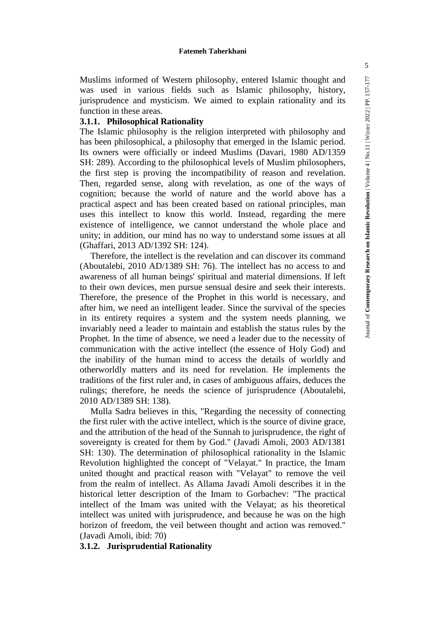Muslims informed of Western philosophy, entered Islamic thought and was used in various fields such as Islamic philosophy, history, jurisprudence and mysticism. We aimed to explain rationality and its function in these areas.

### **3.1.1. Philosophical Rationality**

The Islamic philosophy is the religion interpreted with philosophy and has been philosophical, a philosophy that emerged in the Islamic period. Its owners were officially or indeed Muslims (Davari, 1980 AD/1359 SH: 289). According to the philosophical levels of Muslim philosophers, the first step is proving the incompatibility of reason and revelation. Then, regarded sense, along with revelation, as one of the ways of cognition; because the world of nature and the world above has a practical aspect and has been created based on rational principles, man uses this intellect to know this world. Instead, regarding the mere existence of intelligence, we cannot understand the whole place and unity; in addition, our mind has no way to understand some issues at all (Ghaffari, 2013 AD/1392 SH: 124).

Therefore, the intellect is the revelation and can discover its command (Aboutalebi, 2010 AD/1389 SH: 76). The intellect has no access to and awareness of all human beings' spiritual and material dimensions. If left to their own devices, men pursue sensual desire and seek their interests. Therefore, the presence of the Prophet in this world is necessary, and after him, we need an intelligent leader. Since the survival of the species in its entirety requires a system and the system needs planning, we invariably need a leader to maintain and establish the status rules by the Prophet. In the time of absence, we need a leader due to the necessity of communication with the active intellect (the essence of Holy God) and the inability of the human mind to access the details of worldly and otherworldly matters and its need for revelation. He implements the traditions of the first ruler and, in cases of ambiguous affairs, deduces the rulings; therefore, he needs the science of jurisprudence (Aboutalebi, 2010 AD/1389 SH: 138).

Mulla Sadra believes in this, "Regarding the necessity of connecting the first ruler with the active intellect, which is the source of divine grace, and the attribution of the head of the Sunnah to jurisprudence, the right of sovereignty is created for them by God." (Javadi Amoli, 2003 AD/1381 SH: 130). The determination of philosophical rationality in the Islamic Revolution highlighted the concept of "Velayat." In practice, the Imam united thought and practical reason with "Velayat" to remove the veil from the realm of intellect. As Allama Javadi Amoli describes it in the historical letter description of the Imam to Gorbachev: "The practical intellect of the Imam was united with the Velayat; as his theoretical intellect was united with jurisprudence, and because he was on the high horizon of freedom, the veil between thought and action was removed." (Javadi Amoli, ibid: 70)

#### **3.1.2. Jurisprudential Rationality**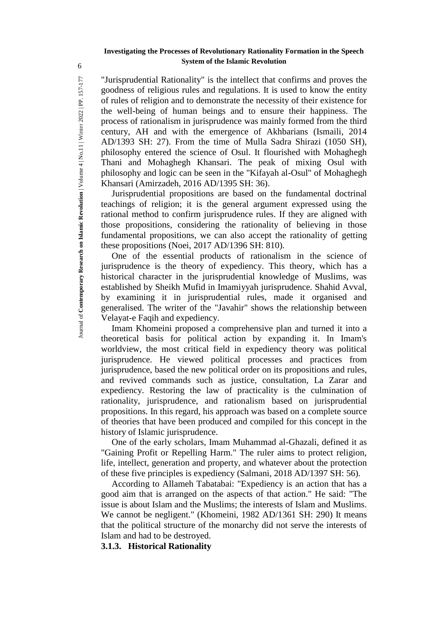"Jurisprudential Rationality" is the intellect that confirms and proves the goodness of religious rules and regulations. It is used to know the entity of rules of religion and to demonstrate the necessity of their existence for the well-being of human beings and to ensure their happiness. The process of rationalism in jurisprudence was mainly formed from the third century, AH and with the emergence of Akhbarians (Ismaili, 2014 AD/1393 SH: 27). From the time of Mulla Sadra Shirazi (1050 SH), philosophy entered the science of Osul. It flourished with Mohaghegh Thani and Mohaghegh Khansari. The peak of mixing Osul with philosophy and logic can be seen in the "Kifayah al-Osul" of Mohaghegh Khansari (Amirzadeh, 2016 AD/1395 SH: 36).

Jurisprudential propositions are based on the fundamental doctrinal teachings of religion; it is the general argument expressed using the rational method to confirm jurisprudence rules. If they are aligned with those propositions, considering the rationality of believing in those fundamental propositions, we can also accept the rationality of getting these propositions (Noei, 2017 AD/1396 SH: 810).

One of the essential products of rationalism in the science of jurisprudence is the theory of expediency. This theory, which has a historical character in the jurisprudential knowledge of Muslims, was established by Sheikh Mufid in Imamiyyah jurisprudence. Shahid Avval, by examining it in jurisprudential rules, made it organised and generalised. The writer of the "Javahir" shows the relationship between Velayat-e Faqih and expediency.

Imam Khomeini proposed a comprehensive plan and turned it into a theoretical basis for political action by expanding it. In Imam's worldview, the most critical field in expediency theory was political jurisprudence. He viewed political processes and practices from jurisprudence, based the new political order on its propositions and rules, and revived commands such as justice, consultation, La Zarar and expediency. Restoring the law of practicality is the culmination of rationality, jurisprudence, and rationalism based on jurisprudential propositions. In this regard, his approach was based on a complete source of theories that have been produced and compiled for this concept in the history of Islamic jurisprudence.

One of the early scholars, Imam Muhammad al-Ghazali, defined it as "Gaining Profit or Repelling Harm." The ruler aims to protect religion, life, intellect, generation and property, and whatever about the protection of these five principles is expediency (Salmani, 2018 AD/1397 SH: 56).

According to Allameh Tabatabai: "Expediency is an action that has a good aim that is arranged on the aspects of that action." He said: "The issue is about Islam and the Muslims; the interests of Islam and Muslims. We cannot be negligent." (Khomeini, 1982 AD/1361 SH: 290) It means that the political structure of the monarchy did not serve the interests of Islam and had to be destroyed.

**3.1.3. Historical Rationality**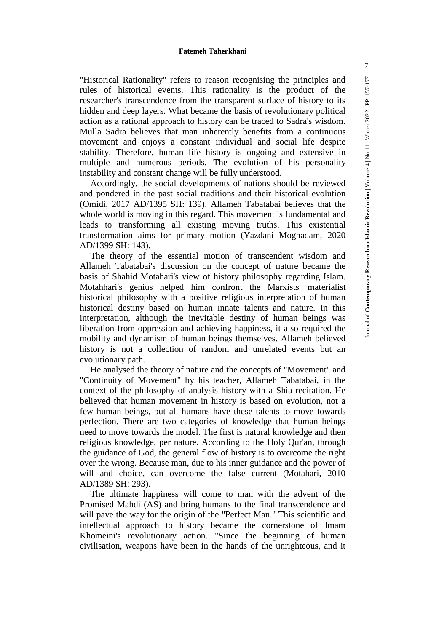"Historical Rationality" refers to reason recognising the principles and rules of historical events. This rationality is the product of the researcher's transcendence from the transparent surface of history to its hidden and deep layers. What became the basis of revolutionary political action as a rational approach to history can be traced to Sadra's wisdom. Mulla Sadra believes that man inherently benefits from a continuous movement and enjoys a constant individual and social life despite stability. Therefore, human life history is ongoing and extensive in multiple and numerous periods. The evolution of his personality instability and constant change will be fully understood.

Accordingly, the social developments of nations should be reviewed and pondered in the past social traditions and their historical evolution (Omidi, 2017 AD/1395 SH: 139). Allameh Tabatabai believes that the whole world is moving in this regard. This movement is fundamental and leads to transforming all existing moving truths. This existential transformation aims for primary motion (Yazdani Moghadam, 2020 AD/1399 SH: 143).

The theory of the essential motion of transcendent wisdom and Allameh Tabatabai's discussion on the concept of nature became the basis of Shahid Motahari's view of history philosophy regarding Islam. Motahhari's genius helped him confront the Marxists' materialist historical philosophy with a positive religious interpretation of human historical destiny based on human innate talents and nature. In this interpretation, although the inevitable destiny of human beings was liberation from oppression and achieving happiness, it also required the mobility and dynamism of human beings themselves. Allameh believed history is not a collection of random and unrelated events but an evolutionary path.

He analysed the theory of nature and the concepts of "Movement" and "Continuity of Movement" by his teacher, Allameh Tabatabai, in the context of the philosophy of analysis history with a Shia recitation. He believed that human movement in history is based on evolution, not a few human beings, but all humans have these talents to move towards perfection. There are two categories of knowledge that human beings need to move towards the model. The first is natural knowledge and then religious knowledge, per nature. According to the Holy Qur'an, through the guidance of God, the general flow of history is to overcome the right over the wrong. Because man, due to his inner guidance and the power of will and choice, can overcome the false current (Motahari, 2010 AD/1389 SH: 293).

The ultimate happiness will come to man with the advent of the Promised Mahdi (AS) and bring humans to the final transcendence and will pave the way for the origin of the "Perfect Man." This scientific and intellectual approach to history became the cornerstone of Imam Khomeini's revolutionary action. "Since the beginning of human civilisation, weapons have been in the hands of the unrighteous, and it 7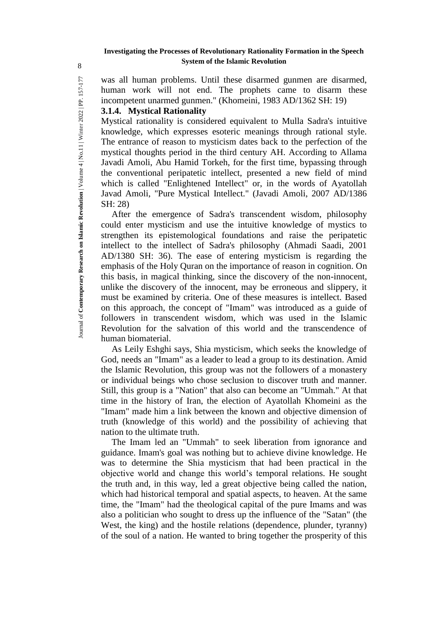was all human problems. Until these disarmed gunmen are disarmed, human work will not end. The prophets came to disarm these incompetent unarmed gunmen." (Khomeini, 1983 AD/1362 SH: 19)

### **3.1.4. Mystical Rationality**

Mystical rationality is considered equivalent to Mulla Sadra's intuitive knowledge, which expresses esoteric meanings through rational style. The entrance of reason to mysticism dates back to the perfection of the mystical thoughts period in the third century AH. According to Allama Javadi Amoli, Abu Hamid Torkeh, for the first time, bypassing through the conventional peripatetic intellect, presented a new field of mind which is called "Enlightened Intellect" or, in the words of Ayatollah Javad Amoli, "Pure Mystical Intellect." (Javadi Amoli, 2007 AD/1386 SH: 28)

After the emergence of Sadra's transcendent wisdom, philosophy could enter mysticism and use the intuitive knowledge of mystics to strengthen its epistemological foundations and raise the peripatetic intellect to the intellect of Sadra's philosophy (Ahmadi Saadi, 2001 AD/1380 SH: 36). The ease of entering mysticism is regarding the emphasis of the Holy Quran on the importance of reason in cognition. On this basis, in magical thinking, since the discovery of the non-innocent, unlike the discovery of the innocent, may be erroneous and slippery, it must be examined by criteria. One of these measures is intellect. Based on this approach, the concept of "Imam" was introduced as a guide of followers in transcendent wisdom, which was used in the Islamic Revolution for the salvation of this world and the transcendence of human biomaterial.

As Leily Eshghi says, Shia mysticism, which seeks the knowledge of God, needs an "Imam" as a leader to lead a group to its destination. Amid the Islamic Revolution, this group was not the followers of a monastery or individual beings who chose seclusion to discover truth and manner. Still, this group is a "Nation" that also can become an "Ummah." At that time in the history of Iran, the election of Ayatollah Khomeini as the "Imam" made him a link between the known and objective dimension of truth (knowledge of this world) and the possibility of achieving that nation to the ultimate truth.

The Imam led an "Ummah" to seek liberation from ignorance and guidance. Imam's goal was nothing but to achieve divine knowledge. He was to determine the Shia mysticism that had been practical in the objective world and change this world's temporal relations. He sought the truth and, in this way, led a great objective being called the nation, which had historical temporal and spatial aspects, to heaven. At the same time, the "Imam" had the theological capital of the pure Imams and was also a politician who sought to dress up the influence of the "Satan" (the West, the king) and the hostile relations (dependence, plunder, tyranny) of the soul of a nation. He wanted to bring together the prosperity of this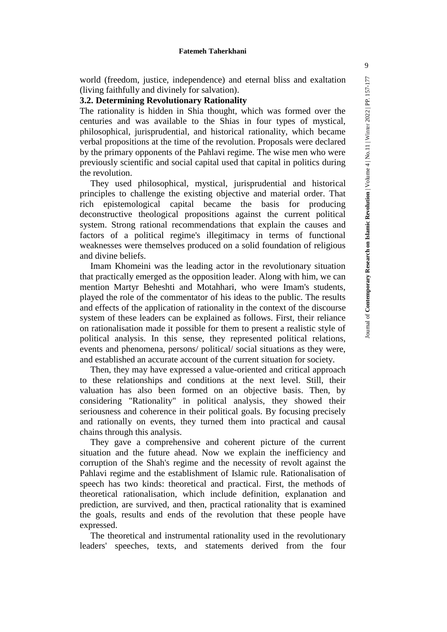world (freedom, justice, independence) and eternal bliss and exaltation (living faithfully and divinely for salvation).

### **3.2. Determining Revolutionary Rationality**

The rationality is hidden in Shia thought, which was formed over the centuries and was available to the Shias in four types of mystical, philosophical, jurisprudential, and historical rationality, which became verbal propositions at the time of the revolution. Proposals were declared by the primary opponents of the Pahlavi regime. The wise men who were previously scientific and social capital used that capital in politics during the revolution.

They used philosophical, mystical, jurisprudential and historical principles to challenge the existing objective and material order. That rich epistemological capital became the basis for producing deconstructive theological propositions against the current political system. Strong rational recommendations that explain the causes and factors of a political regime's illegitimacy in terms of functional weaknesses were themselves produced on a solid foundation of religious and divine beliefs.

Imam Khomeini was the leading actor in the revolutionary situation that practically emerged as the opposition leader. Along with him, we can mention Martyr Beheshti and Motahhari, who were Imam's students, played the role of the commentator of his ideas to the public. The results and effects of the application of rationality in the context of the discourse system of these leaders can be explained as follows. First, their reliance on rationalisation made it possible for them to present a realistic style of political analysis. In this sense, they represented political relations, events and phenomena, persons/ political/ social situations as they were, and established an accurate account of the current situation for society.

Then, they may have expressed a value-oriented and critical approach to these relationships and conditions at the next level. Still, their valuation has also been formed on an objective basis. Then, by considering "Rationality" in political analysis, they showed their seriousness and coherence in their political goals. By focusing precisely and rationally on events, they turned them into practical and causal chains through this analysis.

They gave a comprehensive and coherent picture of the current situation and the future ahead. Now we explain the inefficiency and corruption of the Shah's regime and the necessity of revolt against the Pahlavi regime and the establishment of Islamic rule. Rationalisation of speech has two kinds: theoretical and practical. First, the methods of theoretical rationalisation, which include definition, explanation and prediction, are survived, and then, practical rationality that is examined the goals, results and ends of the revolution that these people have expressed.

The theoretical and instrumental rationality used in the revolutionary leaders' speeches, texts, and statements derived from the four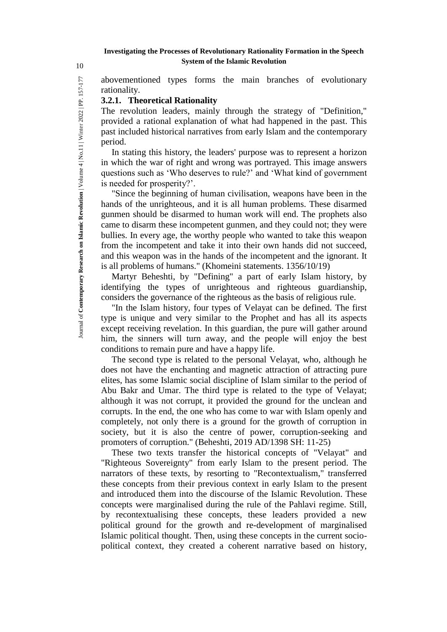abovementioned types forms the main branches of evolutionary rationality.

### **3.2.1. Theoretical Rationality**

The revolution leaders, mainly through the strategy of "Definition," provided a rational explanation of what had happened in the past. This past included historical narratives from early Islam and the contemporary period.

In stating this history, the leaders' purpose was to represent a horizon in which the war of right and wrong was portrayed. This image answers questions such as 'Who deserves to rule?' and 'What kind of government is needed for prosperity?'.

"Since the beginning of human civilisation, weapons have been in the hands of the unrighteous, and it is all human problems. These disarmed gunmen should be disarmed to human work will end. The prophets also came to disarm these incompetent gunmen, and they could not; they were bullies. In every age, the worthy people who wanted to take this weapon from the incompetent and take it into their own hands did not succeed, and this weapon was in the hands of the incompetent and the ignorant. It is all problems of humans." (Khomeini statements. 1356/10/19)

Martyr Beheshti, by "Defining" a part of early Islam history, by identifying the types of unrighteous and righteous guardianship, considers the governance of the righteous as the basis of religious rule.

"In the Islam history, four types of Velayat can be defined. The first type is unique and very similar to the Prophet and has all its aspects except receiving revelation. In this guardian, the pure will gather around him, the sinners will turn away, and the people will enjoy the best conditions to remain pure and have a happy life.

The second type is related to the personal Velayat, who, although he does not have the enchanting and magnetic attraction of attracting pure elites, has some Islamic social discipline of Islam similar to the period of Abu Bakr and Umar. The third type is related to the type of Velayat; although it was not corrupt, it provided the ground for the unclean and corrupts. In the end, the one who has come to war with Islam openly and completely, not only there is a ground for the growth of corruption in society, but it is also the centre of power, corruption-seeking and promoters of corruption." (Beheshti, 2019 AD/1398 SH: 11-25)

These two texts transfer the historical concepts of "Velayat" and "Righteous Sovereignty" from early Islam to the present period. The narrators of these texts, by resorting to "Recontextualism," transferred these concepts from their previous context in early Islam to the present and introduced them into the discourse of the Islamic Revolution. These concepts were marginalised during the rule of the Pahlavi regime. Still, by recontextualising these concepts, these leaders provided a new political ground for the growth and re-development of marginalised Islamic political thought. Then, using these concepts in the current sociopolitical context, they created a coherent narrative based on history,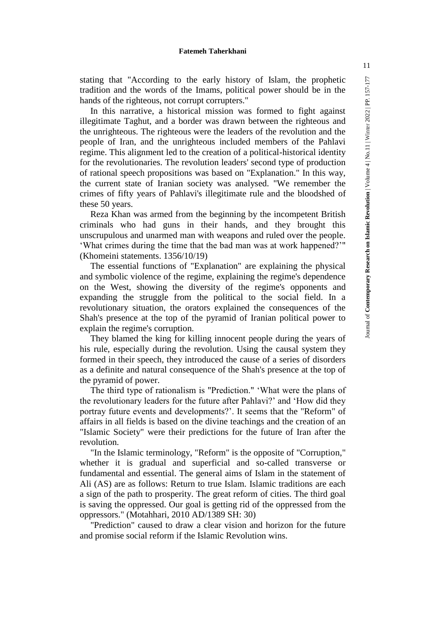stating that "According to the early history of Islam, the prophetic tradition and the words of the Imams, political power should be in the hands of the righteous, not corrupt corrupters."

In this narrative, a historical mission was formed to fight against illegitimate Taghut, and a border was drawn between the righteous and the unrighteous. The righteous were the leaders of the revolution and the people of Iran, and the unrighteous included members of the Pahlavi regime. This alignment led to the creation of a political-historical identity for the revolutionaries. The revolution leaders' second type of production of rational speech propositions was based on "Explanation." In this way, the current state of Iranian society was analysed. "We remember the crimes of fifty years of Pahlavi's illegitimate rule and the bloodshed of these 50 years.

Reza Khan was armed from the beginning by the incompetent British criminals who had guns in their hands, and they brought this unscrupulous and unarmed man with weapons and ruled over the people. 'What crimes during the time that the bad man was at work happened?'" (Khomeini statements. 1356/10/19)

The essential functions of "Explanation" are explaining the physical and symbolic violence of the regime, explaining the regime's dependence on the West, showing the diversity of the regime's opponents and expanding the struggle from the political to the social field. In a revolutionary situation, the orators explained the consequences of the Shah's presence at the top of the pyramid of Iranian political power to explain the regime's corruption.

They blamed the king for killing innocent people during the years of his rule, especially during the revolution. Using the causal system they formed in their speech, they introduced the cause of a series of disorders as a definite and natural consequence of the Shah's presence at the top of the pyramid of power.

The third type of rationalism is "Prediction." 'What were the plans of the revolutionary leaders for the future after Pahlavi?' and 'How did they portray future events and developments?'. It seems that the "Reform" of affairs in all fields is based on the divine teachings and the creation of an "Islamic Society" were their predictions for the future of Iran after the revolution.

"In the Islamic terminology, "Reform" is the opposite of "Corruption," whether it is gradual and superficial and so-called transverse or fundamental and essential. The general aims of Islam in the statement of Ali (AS) are as follows: Return to true Islam. Islamic traditions are each a sign of the path to prosperity. The great reform of cities. The third goal is saving the oppressed. Our goal is getting rid of the oppressed from the oppressors." (Motahhari, 2010 AD/1389 SH: 30)

"Prediction" caused to draw a clear vision and horizon for the future and promise social reform if the Islamic Revolution wins.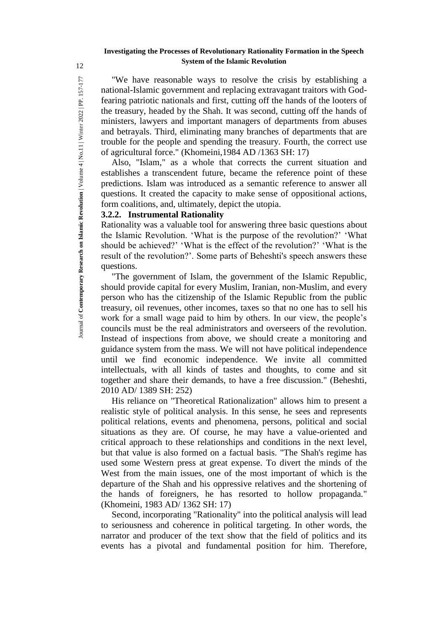"We have reasonable ways to resolve the crisis by establishing a national-Islamic government and replacing extravagant traitors with Godfearing patriotic nationals and first, cutting off the hands of the looters of the treasury, headed by the Shah. It was second, cutting off the hands of ministers, lawyers and important managers of departments from abuses and betrayals. Third, eliminating many branches of departments that are trouble for the people and spending the treasury. Fourth, the correct use of agricultural force." (Khomeini,1984 AD /1363 SH: 17)

Also, "Islam," as a whole that corrects the current situation and establishes a transcendent future, became the reference point of these predictions. Islam was introduced as a semantic reference to answer all questions. It created the capacity to make sense of oppositional actions, form coalitions, and, ultimately, depict the utopia.

## **3.2.2. Instrumental Rationality**

Rationality was a valuable tool for answering three basic questions about the Islamic Revolution. 'What is the purpose of the revolution?' 'What should be achieved?' 'What is the effect of the revolution?' 'What is the result of the revolution?'. Some parts of Beheshti's speech answers these questions.

"The government of Islam, the government of the Islamic Republic, should provide capital for every Muslim, Iranian, non-Muslim, and every person who has the citizenship of the Islamic Republic from the public treasury, oil revenues, other incomes, taxes so that no one has to sell his work for a small wage paid to him by others. In our view, the people's councils must be the real administrators and overseers of the revolution. Instead of inspections from above, we should create a monitoring and guidance system from the mass. We will not have political independence until we find economic independence. We invite all committed intellectuals, with all kinds of tastes and thoughts, to come and sit together and share their demands, to have a free discussion." (Beheshti, 2010 AD/ 1389 SH: 252)

His reliance on "Theoretical Rationalization" allows him to present a realistic style of political analysis. In this sense, he sees and represents political relations, events and phenomena, persons, political and social situations as they are. Of course, he may have a value-oriented and critical approach to these relationships and conditions in the next level, but that value is also formed on a factual basis. "The Shah's regime has used some Western press at great expense. To divert the minds of the West from the main issues, one of the most important of which is the departure of the Shah and his oppressive relatives and the shortening of the hands of foreigners, he has resorted to hollow propaganda." (Khomeini, 1983 AD/ 1362 SH: 17)

Second, incorporating "Rationality" into the political analysis will lead to seriousness and coherence in political targeting. In other words, the narrator and producer of the text show that the field of politics and its events has a pivotal and fundamental position for him. Therefore,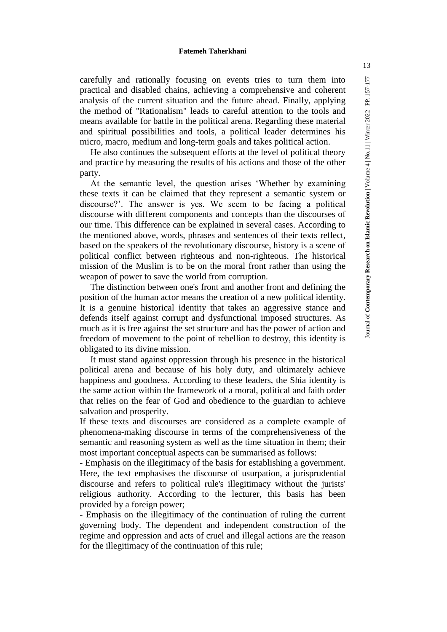carefully and rationally focusing on events tries to turn them into practical and disabled chains, achieving a comprehensive and coherent analysis of the current situation and the future ahead. Finally, applying the method of "Rationalism" leads to careful attention to the tools and means available for battle in the political arena. Regarding these material and spiritual possibilities and tools, a political leader determines his micro, macro, medium and long-term goals and takes political action.

He also continues the subsequent efforts at the level of political theory and practice by measuring the results of his actions and those of the other party.

At the semantic level, the question arises 'Whether by examining these texts it can be claimed that they represent a semantic system or discourse?'. The answer is yes. We seem to be facing a political discourse with different components and concepts than the discourses of our time. This difference can be explained in several cases. According to the mentioned above, words, phrases and sentences of their texts reflect, based on the speakers of the revolutionary discourse, history is a scene of political conflict between righteous and non-righteous. The historical mission of the Muslim is to be on the moral front rather than using the weapon of power to save the world from corruption.

The distinction between one's front and another front and defining the position of the human actor means the creation of a new political identity. It is a genuine historical identity that takes an aggressive stance and defends itself against corrupt and dysfunctional imposed structures. As much as it is free against the set structure and has the power of action and freedom of movement to the point of rebellion to destroy, this identity is obligated to its divine mission.

It must stand against oppression through his presence in the historical political arena and because of his holy duty, and ultimately achieve happiness and goodness. According to these leaders, the Shia identity is the same action within the framework of a moral, political and faith order that relies on the fear of God and obedience to the guardian to achieve salvation and prosperity.

If these texts and discourses are considered as a complete example of phenomena-making discourse in terms of the comprehensiveness of the semantic and reasoning system as well as the time situation in them; their most important conceptual aspects can be summarised as follows:

- Emphasis on the illegitimacy of the basis for establishing a government. Here, the text emphasises the discourse of usurpation, a jurisprudential discourse and refers to political rule's illegitimacy without the jurists' religious authority. According to the lecturer, this basis has been provided by a foreign power;

- Emphasis on the illegitimacy of the continuation of ruling the current governing body. The dependent and independent construction of the regime and oppression and acts of cruel and illegal actions are the reason for the illegitimacy of the continuation of this rule;

13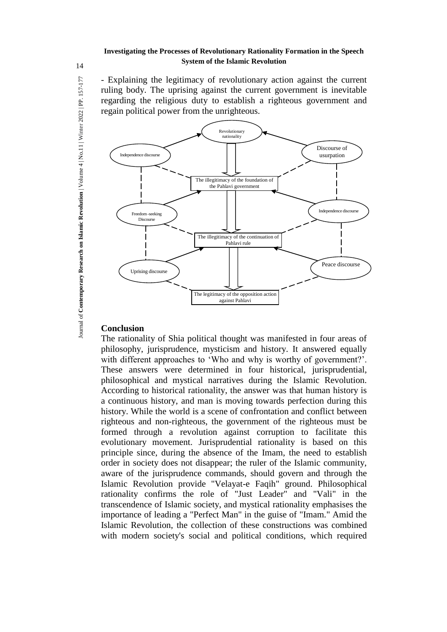- Explaining the legitimacy of revolutionary action against the current ruling body. The uprising against the current government is inevitable regarding the religious duty to establish a righteous government and regain political power from the unrighteous.



### **Conclusion**

The rationality of Shia political thought was manifested in four areas of philosophy, jurisprudence, mysticism and history. It answered equally with different approaches to 'Who and why is worthy of government?'. These answers were determined in four historical, jurisprudential, philosophical and mystical narratives during the Islamic Revolution. According to historical rationality, the answer was that human history is a continuous history, and man is moving towards perfection during this history. While the world is a scene of confrontation and conflict between righteous and non-righteous, the government of the righteous must be formed through a revolution against corruption to facilitate this evolutionary movement. Jurisprudential rationality is based on this principle since, during the absence of the Imam, the need to establish order in society does not disappear; the ruler of the Islamic community, aware of the jurisprudence commands, should govern and through the Islamic Revolution provide "Velayat-e Faqih" ground. Philosophical rationality confirms the role of "Just Leader" and "Vali" in the transcendence of Islamic society, and mystical rationality emphasises the importance of leading a "Perfect Man" in the guise of "Imam." Amid the Islamic Revolution, the collection of these constructions was combined with modern society's social and political conditions, which required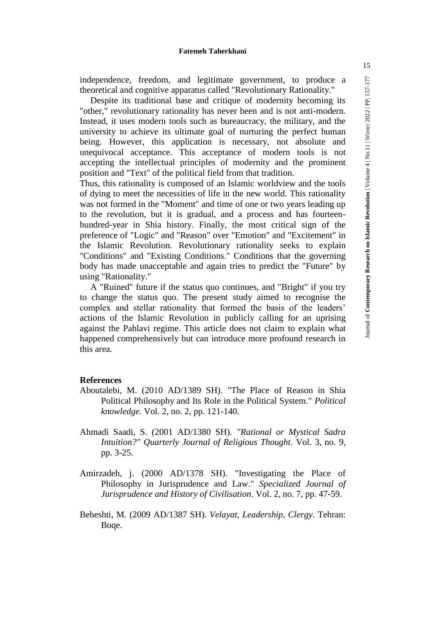independence, freedom, and legitimate government, to produce a theoretical and cognitive apparatus called "Revolutionary Rationality."

Despite its traditional base and critique of modernity becoming its "other," revolutionary rationality has never been and is not anti-modern. Instead, it uses modern tools such as bureaucracy, the military, and the university to achieve its ultimate goal of nurturing the perfect human being. However, this application is necessary, not absolute and unequivocal acceptance. This acceptance of modern tools is not accepting the intellectual principles of modernity and the prominent position and "Text" of the political field from that tradition.

Thus, this rationality is composed of an Islamic worldview and the tools of dying to meet the necessities of life in the new world. This rationality was not formed in the "Moment" and time of one or two years leading up to the revolution, but it is gradual, and a process and has fourteenhundred-year in Shia history. Finally, the most critical sign of the preference of "Logic" and "Reason" over "Emotion" and "Excitement" in the Islamic Revolution. Revolutionary rationality seeks to explain "Conditions" and "Existing Conditions." Conditions that the governing body has made unacceptable and again tries to predict the "Future" by using "Rationality."

A "Ruined" future if the status quo continues, and "Bright" if you try to change the status quo. The present study aimed to recognise the complex and stellar rationality that formed the basis of the leaders' actions of the Islamic Revolution in publicly calling for an uprising against the Pahlavi regime. This article does not claim to explain what happened comprehensively but can introduce more profound research in this area.

#### **References**

- Aboutalebi, M. (2010 AD/1389 SH). "The Place of Reason in Shia Political Philosophy and Its Role in the Political System." *Political knowledge*. Vol. 2, no. 2, pp. 121-140.
- Ahmadi Saadi, S. (2001 AD/1380 SH). *"Rational or Mystical Sadra Intuition?" Quarterly Journal of Religious Thought*. Vol. 3, no. 9, pp. 3-25.
- Amirzadeh, j. (2000 AD/1378 SH). "Investigating the Place of Philosophy in Jurisprudence and Law." *Specialized Journal of Jurisprudence and History of Civilisation*. Vol. 2, no. 7, pp. 47-59.
- Beheshti, M. (2009 AD/1387 SH). *Velayat, Leadership, Clergy*. Tehran: Boqe.